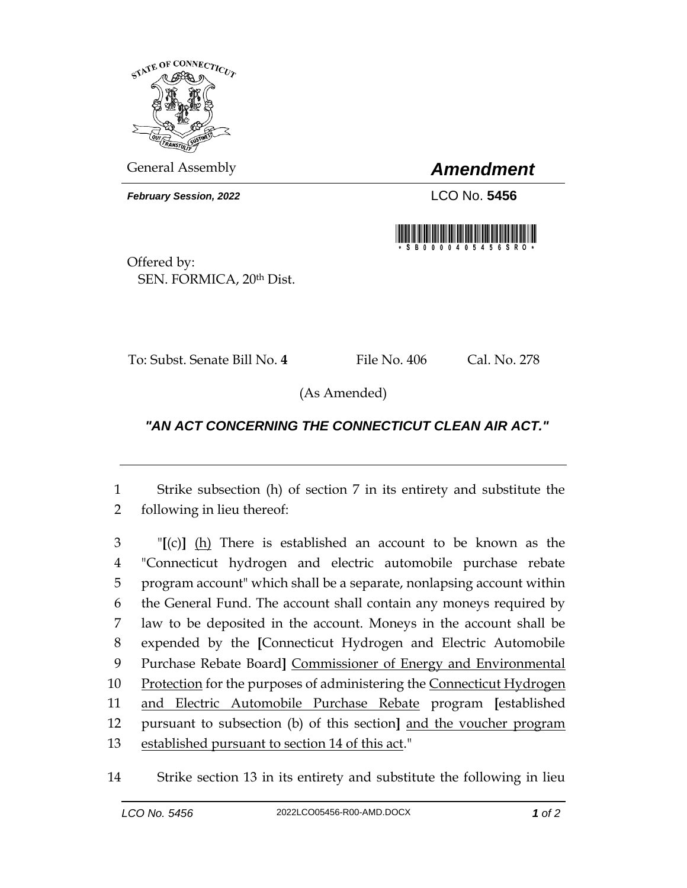

General Assembly *Amendment*

*February Session, 2022* LCO No. 5456



Offered by: SEN. FORMICA, 20th Dist.

To: Subst. Senate Bill No. 4 File No. 406 Cal. No. 278

(As Amended)

## *"AN ACT CONCERNING THE CONNECTICUT CLEAN AIR ACT."*

1 Strike subsection (h) of section 7 in its entirety and substitute the 2 following in lieu thereof:

 "**[**(c)**]** (h) There is established an account to be known as the "Connecticut hydrogen and electric automobile purchase rebate program account" which shall be a separate, nonlapsing account within the General Fund. The account shall contain any moneys required by law to be deposited in the account. Moneys in the account shall be expended by the **[**Connecticut Hydrogen and Electric Automobile Purchase Rebate Board**]** Commissioner of Energy and Environmental 10 Protection for the purposes of administering the Connecticut Hydrogen and Electric Automobile Purchase Rebate program **[**established pursuant to subsection (b) of this section**]** and the voucher program established pursuant to section 14 of this act."

14 Strike section 13 in its entirety and substitute the following in lieu